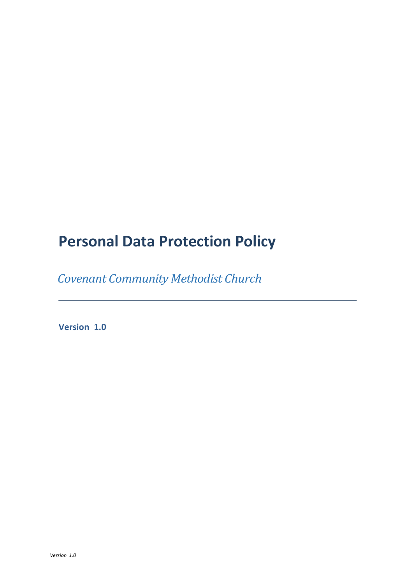# **Personal Data Protection Policy**

 *Covenant Community Methodist Church* 

<span id="page-0-0"></span> **Version 1.0**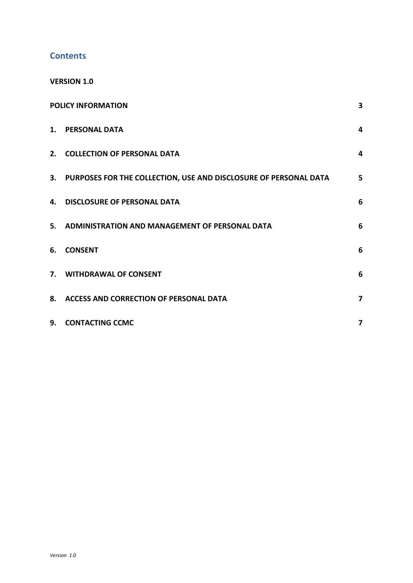### **Contents**

**[VERSION 1.0](#page-0-0)**

| <b>POLICY INFORMATION</b> |                                                                     | 3               |
|---------------------------|---------------------------------------------------------------------|-----------------|
|                           | 1. PERSONAL DATA                                                    | $\overline{4}$  |
|                           | 2. COLLECTION OF PERSONAL DATA                                      | 4               |
|                           | 3. PURPOSES FOR THE COLLECTION, USE AND DISCLOSURE OF PERSONAL DATA | 5               |
|                           | 4. DISCLOSURE OF PERSONAL DATA                                      | 6               |
|                           | 5. ADMINISTRATION AND MANAGEMENT OF PERSONAL DATA                   | $6\phantom{1}6$ |
| 6.                        | <b>CONSENT</b>                                                      | 6               |
|                           | 7. WITHDRAWAL OF CONSENT                                            | 6               |
|                           | 8. ACCESS AND CORRECTION OF PERSONAL DATA                           | 7               |
|                           | 9. CONTACTING CCMC                                                  | 7               |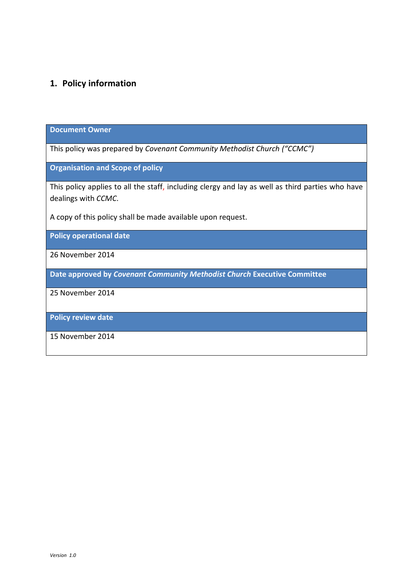## <span id="page-2-0"></span>**1. Policy information**

#### **Document Owner**

This policy was prepared by *Covenant Community Methodist Church ("CCMC")*

**Organisation and Scope of policy**

This policy applies to all the staff, including clergy and lay as well as third parties who have dealings with *CCMC*.

A copy of this policy shall be made available upon request.

**Policy operational date**

26 November 2014

**Date approved by** *Covenant Community Methodist Church* **Executive Committee**

25 November 2014

**Policy review date**

15 November 2014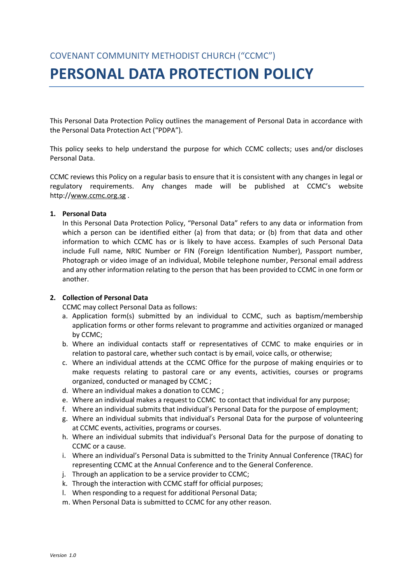## **PERSONAL DATA PROTECTION POLICY**

This Personal Data Protection Policy outlines the management of Personal Data in accordance with the Personal Data Protection Act ("PDPA").

This policy seeks to help understand the purpose for which CCMC collects; uses and/or discloses Personal Data.

CCMC reviews this Policy on a regular basis to ensure that it is consistent with any changes in legal or regulatory requirements. Any changes made will be published at CCMC's website http:/[/www.ccmc.org.sg](http://www.ccmc.org.sg/) .

#### <span id="page-3-0"></span>**1. Personal Data**

In this Personal Data Protection Policy, "Personal Data" refers to any data or information from which a person can be identified either (a) from that data; or (b) from that data and other information to which CCMC has or is likely to have access. Examples of such Personal Data include Full name, NRIC Number or FIN (Foreign Identification Number), Passport number, Photograph or video image of an individual, Mobile telephone number, Personal email address and any other information relating to the person that has been provided to CCMC in one form or another.

#### <span id="page-3-1"></span>**2. Collection of Personal Data**

CCMC may collect Personal Data as follows:

- a. Application form(s) submitted by an individual to CCMC, such as baptism/membership application forms or other forms relevant to programme and activities organized or managed by CCMC;
- b. Where an individual contacts staff or representatives of CCMC to make enquiries or in relation to pastoral care, whether such contact is by email, voice calls, or otherwise;
- c. Where an individual attends at the CCMC Office for the purpose of making enquiries or to make requests relating to pastoral care or any events, activities, courses or programs organized, conducted or managed by CCMC ;
- d. Where an individual makes a donation to CCMC ;
- e. Where an individual makes a request to CCMC to contact that individual for any purpose;
- f. Where an individual submits that individual's Personal Data for the purpose of employment;
- g. Where an individual submits that individual's Personal Data for the purpose of volunteering at CCMC events, activities, programs or courses.
- h. Where an individual submits that individual's Personal Data for the purpose of donating to CCMC or a cause.
- i. Where an individual's Personal Data is submitted to the Trinity Annual Conference (TRAC) for representing CCMC at the Annual Conference and to the General Conference.
- j. Through an application to be a service provider to CCMC;
- k. Through the interaction with CCMC staff for official purposes;
- l. When responding to a request for additional Personal Data;
- m. When Personal Data is submitted to CCMC for any other reason.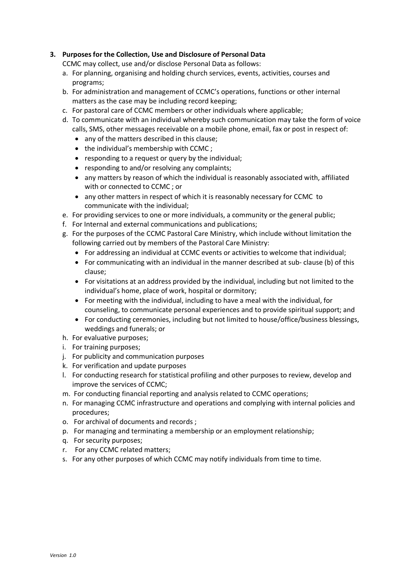#### <span id="page-4-0"></span>**3. Purposes for the Collection, Use and Disclosure of Personal Data**

CCMC may collect, use and/or disclose Personal Data as follows:

- a. For planning, organising and holding church services, events, activities, courses and programs;
- b. For administration and management of CCMC's operations, functions or other internal matters as the case may be including record keeping;
- c. For pastoral care of CCMC members or other individuals where applicable;
- d. To communicate with an individual whereby such communication may take the form of voice calls, SMS, other messages receivable on a mobile phone, email, fax or post in respect of:
	- any of the matters described in this clause;
	- the individual's membership with CCMC ;
	- responding to a request or query by the individual;
	- responding to and/or resolving any complaints;
	- any matters by reason of which the individual is reasonably associated with, affiliated with or connected to CCMC ; or
	- any other matters in respect of which it is reasonably necessary for CCMC to communicate with the individual;
- e. For providing services to one or more individuals, a community or the general public;
- f. For Internal and external communications and publications;
- g. For the purposes of the CCMC Pastoral Care Ministry, which include without limitation the following carried out by members of the Pastoral Care Ministry:
	- For addressing an individual at CCMC events or activities to welcome that individual;
	- For communicating with an individual in the manner described at sub- clause (b) of this clause;
	- For visitations at an address provided by the individual, including but not limited to the individual's home, place of work, hospital or dormitory;
	- For meeting with the individual, including to have a meal with the individual, for counseling, to communicate personal experiences and to provide spiritual support; and
	- For conducting ceremonies, including but not limited to house/office/business blessings, weddings and funerals; or
- h. For evaluative purposes;
- i. For training purposes;
- j. For publicity and communication purposes
- k. For verification and update purposes
- l. For conducting research for statistical profiling and other purposes to review, develop and improve the services of CCMC;
- m. For conducting financial reporting and analysis related to CCMC operations;
- n. For managing CCMC infrastructure and operations and complying with internal policies and procedures;
- o. For archival of documents and records ;
- p. For managing and terminating a membership or an employment relationship;
- q. For security purposes;
- r. For any CCMC related matters;
- s. For any other purposes of which CCMC may notify individuals from time to time.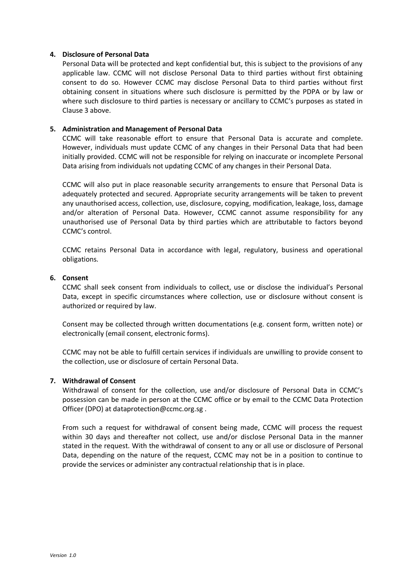#### <span id="page-5-0"></span>**4. Disclosure of Personal Data**

Personal Data will be protected and kept confidential but, this is subject to the provisions of any applicable law. CCMC will not disclose Personal Data to third parties without first obtaining consent to do so. However CCMC may disclose Personal Data to third parties without first obtaining consent in situations where such disclosure is permitted by the PDPA or by law or where such disclosure to third parties is necessary or ancillary to CCMC's purposes as stated in Clause 3 above.

#### <span id="page-5-1"></span>**5. Administration and Management of Personal Data**

CCMC will take reasonable effort to ensure that Personal Data is accurate and complete. However, individuals must update CCMC of any changes in their Personal Data that had been initially provided. CCMC will not be responsible for relying on inaccurate or incomplete Personal Data arising from individuals not updating CCMC of any changes in their Personal Data.

CCMC will also put in place reasonable security arrangements to ensure that Personal Data is adequately protected and secured. Appropriate security arrangements will be taken to prevent any unauthorised access, collection, use, disclosure, copying, modification, leakage, loss, damage and/or alteration of Personal Data. However, CCMC cannot assume responsibility for any unauthorised use of Personal Data by third parties which are attributable to factors beyond CCMC's control.

CCMC retains Personal Data in accordance with legal, regulatory, business and operational obligations.

#### <span id="page-5-2"></span>**6. Consent**

CCMC shall seek consent from individuals to collect, use or disclose the individual's Personal Data, except in specific circumstances where collection, use or disclosure without consent is authorized or required by law.

Consent may be collected through written documentations (e.g. consent form, written note) or electronically (email consent, electronic forms).

CCMC may not be able to fulfill certain services if individuals are unwilling to provide consent to the collection, use or disclosure of certain Personal Data.

#### <span id="page-5-3"></span>**7. Withdrawal of Consent**

Withdrawal of consent for the collection, use and/or disclosure of Personal Data in CCMC's possession can be made in person at the CCMC office or by email to the CCMC Data Protection Officer (DPO) at dataprotection@ccmc.org.sg .

From such a request for withdrawal of consent being made, CCMC will process the request within 30 days and thereafter not collect, use and/or disclose Personal Data in the manner stated in the request. With the withdrawal of consent to any or all use or disclosure of Personal Data, depending on the nature of the request, CCMC may not be in a position to continue to provide the services or administer any contractual relationship that is in place.